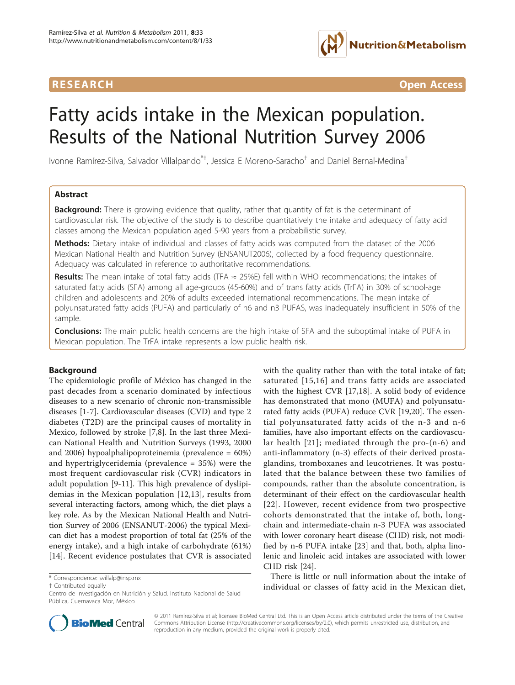# **RESEARCH CONSUMING THE CONSUMING THE CONSUMING THE CONSUMING THE CONSUMING THE CONSUMING THE CONSUMING THE CONSUMING THE CONSUMING THE CONSUMING THE CONSUMING THE CONSUMING THE CONSUMING THE CONSUMING THE CONSUMING THE**



# Fatty acids intake in the Mexican population. Results of the National Nutrition Survey 2006

Ivonne Ramírez-Silva, Salvador Villalpando<sup>\*†</sup>, Jessica E Moreno-Saracho<sup>†</sup> and Daniel Bernal-Medina<sup>†</sup>

# Abstract

**Background:** There is growing evidence that quality, rather that quantity of fat is the determinant of cardiovascular risk. The objective of the study is to describe quantitatively the intake and adequacy of fatty acid classes among the Mexican population aged 5-90 years from a probabilistic survey.

Methods: Dietary intake of individual and classes of fatty acids was computed from the dataset of the 2006 Mexican National Health and Nutrition Survey (ENSANUT2006), collected by a food frequency questionnaire. Adequacy was calculated in reference to authoritative recommendations.

Results: The mean intake of total fatty acids (TFA  $\approx$  25%E) fell within WHO recommendations; the intakes of saturated fatty acids (SFA) among all age-groups (45-60%) and of trans fatty acids (TrFA) in 30% of school-age children and adolescents and 20% of adults exceeded international recommendations. The mean intake of polyunsaturated fatty acids (PUFA) and particularly of n6 and n3 PUFAS, was inadequately insufficient in 50% of the sample.

Conclusions: The main public health concerns are the high intake of SFA and the suboptimal intake of PUFA in Mexican population. The TrFA intake represents a low public health risk.

# Background

The epidemiologic profile of México has changed in the past decades from a scenario dominated by infectious diseases to a new scenario of chronic non-transmissible diseases [\[1](#page-8-0)-[7\]](#page-8-0). Cardiovascular diseases (CVD) and type 2 diabetes (T2D) are the principal causes of mortality in Mexico, followed by stroke [\[7,8](#page-8-0)]. In the last three Mexican National Health and Nutrition Surveys (1993, 2000 and 2006) hypoalphalipoproteinemia (prevalence = 60%) and hypertriglyceridemia (prevalence = 35%) were the most frequent cardiovascular risk (CVR) indicators in adult population [[9-11](#page-8-0)]. This high prevalence of dyslipidemias in the Mexican population [\[12](#page-8-0),[13\]](#page-8-0), results from several interacting factors, among which, the diet plays a key role. As by the Mexican National Health and Nutrition Survey of 2006 (ENSANUT-2006) the typical Mexican diet has a modest proportion of total fat (25% of the energy intake), and a high intake of carbohydrate (61%) [[14\]](#page-9-0). Recent evidence postulates that CVR is associated

† Contributed equally

with the quality rather than with the total intake of fat; saturated [\[15,16\]](#page-9-0) and trans fatty acids are associated with the highest CVR [[17,18\]](#page-9-0). A solid body of evidence has demonstrated that mono (MUFA) and polyunsaturated fatty acids (PUFA) reduce CVR [[19](#page-9-0),[20](#page-9-0)]. The essential polyunsaturated fatty acids of the n-3 and n-6 families, have also important effects on the cardiovascular health [[21\]](#page-9-0); mediated through the pro-(n-6) and anti-inflammatory (n-3) effects of their derived prostaglandins, tromboxanes and leucotrienes. It was postulated that the balance between these two families of compounds, rather than the absolute concentration, is determinant of their effect on the cardiovascular health [[22\]](#page-9-0). However, recent evidence from two prospective cohorts demonstrated that the intake of, both, longchain and intermediate-chain n-3 PUFA was associated with lower coronary heart disease (CHD) risk, not modified by n-6 PUFA intake [\[23\]](#page-9-0) and that, both, alpha linolenic and linoleic acid intakes are associated with lower CHD risk [\[24](#page-9-0)].

There is little or null information about the intake of individual or classes of fatty acid in the Mexican diet,



© 2011 Ramírez-Silva et al; licensee BioMed Central Ltd. This is an Open Access article distributed under the terms of the Creative Commons Attribution License [\(http://creativecommons.org/licenses/by/2.0](http://creativecommons.org/licenses/by/2.0)), which permits unrestricted use, distribution, and reproduction in any medium, provided the original work is properly cited.

<sup>\*</sup> Correspondence: [svillalp@insp.mx](mailto:svillalp@insp.mx)

Centro de Investigación en Nutrición y Salud. Instituto Nacional de Salud Pública, Cuernavaca Mor, México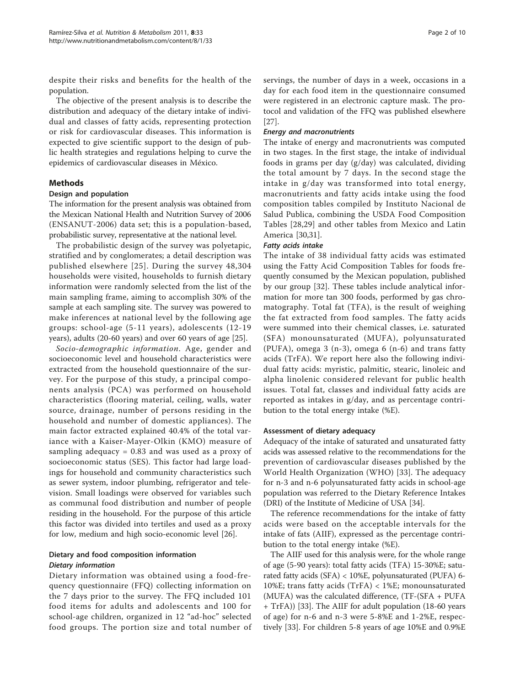despite their risks and benefits for the health of the population.

The objective of the present analysis is to describe the distribution and adequacy of the dietary intake of individual and classes of fatty acids, representing protection or risk for cardiovascular diseases. This information is expected to give scientific support to the design of public health strategies and regulations helping to curve the epidemics of cardiovascular diseases in México.

# Methods

## Design and population

The information for the present analysis was obtained from the Mexican National Health and Nutrition Survey of 2006 (ENSANUT-2006) data set; this is a population-based, probabilistic survey, representative at the national level.

The probabilistic design of the survey was polyetapic, stratified and by conglomerates; a detail description was published elsewhere [[25](#page-9-0)]. During the survey 48,304 households were visited, households to furnish dietary information were randomly selected from the list of the main sampling frame, aiming to accomplish 30% of the sample at each sampling site. The survey was powered to make inferences at national level by the following age groups: school-age (5-11 years), adolescents (12-19 years), adults (20-60 years) and over 60 years of age [\[25](#page-9-0)].

Socio-demographic information. Age, gender and socioeconomic level and household characteristics were extracted from the household questionnaire of the survey. For the purpose of this study, a principal components analysis (PCA) was performed on household characteristics (flooring material, ceiling, walls, water source, drainage, number of persons residing in the household and number of domestic appliances). The main factor extracted explained 40.4% of the total variance with a Kaiser-Mayer-Olkin (KMO) measure of sampling adequacy = 0.83 and was used as a proxy of socioeconomic status (SES). This factor had large loadings for household and community characteristics such as sewer system, indoor plumbing, refrigerator and television. Small loadings were observed for variables such as communal food distribution and number of people residing in the household. For the purpose of this article this factor was divided into tertiles and used as a proxy for low, medium and high socio-economic level [\[26](#page-9-0)].

# Dietary and food composition information Dietary information

Dietary information was obtained using a food-frequency questionnaire (FFQ) collecting information on the 7 days prior to the survey. The FFQ included 101 food items for adults and adolescents and 100 for school-age children, organized in 12 "ad-hoc" selected food groups. The portion size and total number of servings, the number of days in a week, occasions in a day for each food item in the questionnaire consumed were registered in an electronic capture mask. The protocol and validation of the FFQ was published elsewhere [[27\]](#page-9-0).

# Energy and macronutrients

The intake of energy and macronutrients was computed in two stages. In the first stage, the intake of individual foods in grams per day (g/day) was calculated, dividing the total amount by 7 days. In the second stage the intake in g/day was transformed into total energy, macronutrients and fatty acids intake using the food composition tables compiled by Instituto Nacional de Salud Publica, combining the USDA Food Composition Tables [[28,29](#page-9-0)] and other tables from Mexico and Latin America [\[30,31](#page-9-0)].

# Fatty acids intake

The intake of 38 individual fatty acids was estimated using the Fatty Acid Composition Tables for foods frequently consumed by the Mexican population, published by our group [[32\]](#page-9-0). These tables include analytical information for more tan 300 foods, performed by gas chromatography. Total fat (TFA), is the result of weighing the fat extracted from food samples. The fatty acids were summed into their chemical classes, i.e. saturated (SFA) monounsaturated (MUFA), polyunsaturated (PUFA), omega 3 (n-3), omega 6 (n-6) and trans fatty acids (TrFA). We report here also the following individual fatty acids: myristic, palmitic, stearic, linoleic and alpha linolenic considered relevant for public health issues. Total fat, classes and individual fatty acids are reported as intakes in g/day, and as percentage contribution to the total energy intake (%E).

# Assessment of dietary adequacy

Adequacy of the intake of saturated and unsaturated fatty acids was assessed relative to the recommendations for the prevention of cardiovascular diseases published by the World Health Organization (WHO) [[33](#page-9-0)]. The adequacy for n-3 and n-6 polyunsaturated fatty acids in school-age population was referred to the Dietary Reference Intakes (DRI) of the Institute of Medicine of USA [[34](#page-9-0)].

The reference recommendations for the intake of fatty acids were based on the acceptable intervals for the intake of fats (AIIF), expressed as the percentage contribution to the total energy intake (%E).

The AIIF used for this analysis were, for the whole range of age (5-90 years): total fatty acids (TFA) 15-30%E; saturated fatty acids (SFA) < 10%E, polyunsaturated (PUFA) 6- 10%E; trans fatty acids (TrFA) < 1%E; monounsaturated (MUFA) was the calculated difference, (TF-(SFA + PUFA + TrFA)) [\[33](#page-9-0)]. The AIIF for adult population (18-60 years of age) for n-6 and n-3 were 5-8%E and 1-2%E, respectively [\[33](#page-9-0)]. For children 5-8 years of age 10%E and 0.9%E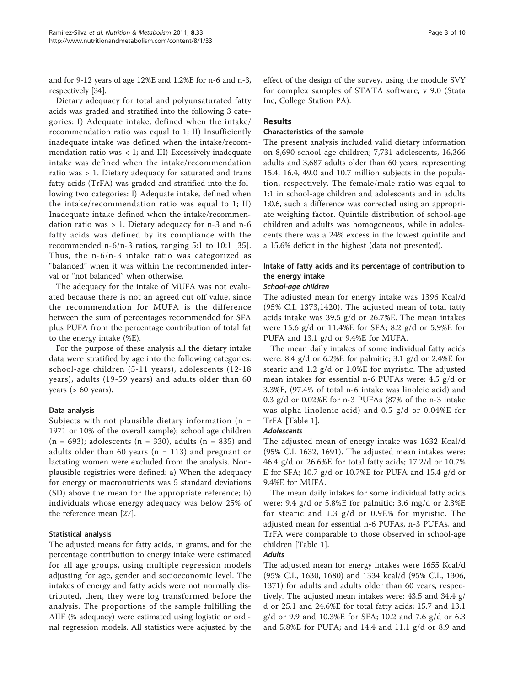and for 9-12 years of age 12%E and 1.2%E for n-6 and n-3, respectively [[34](#page-9-0)].

Dietary adequacy for total and polyunsaturated fatty acids was graded and stratified into the following 3 categories: I) Adequate intake, defined when the intake/ recommendation ratio was equal to 1; II) Insufficiently inadequate intake was defined when the intake/recommendation ratio was  $< 1$ ; and III) Excessively inadequate intake was defined when the intake/recommendation ratio was > 1. Dietary adequacy for saturated and trans fatty acids (TrFA) was graded and stratified into the following two categories: I) Adequate intake, defined when the intake/recommendation ratio was equal to 1; II) Inadequate intake defined when the intake/recommendation ratio was > 1. Dietary adequacy for n-3 and n-6 fatty acids was defined by its compliance with the recommended n-6/n-3 ratios, ranging 5:1 to 10:1 [[35\]](#page-9-0). Thus, the n-6/n-3 intake ratio was categorized as "balanced" when it was within the recommended interval or "not balanced" when otherwise.

The adequacy for the intake of MUFA was not evaluated because there is not an agreed cut off value, since the recommendation for MUFA is the difference between the sum of percentages recommended for SFA plus PUFA from the percentage contribution of total fat to the energy intake (%E).

For the purpose of these analysis all the dietary intake data were stratified by age into the following categories: school-age children (5-11 years), adolescents (12-18 years), adults (19-59 years) and adults older than 60 years  $(> 60$  years).

# Data analysis

Subjects with not plausible dietary information  $(n =$ 1971 or 10% of the overall sample); school age children  $(n = 693)$ ; adolescents  $(n = 330)$ , adults  $(n = 835)$  and adults older than 60 years ( $n = 113$ ) and pregnant or lactating women were excluded from the analysis. Nonplausible registries were defined: a) When the adequacy for energy or macronutrients was 5 standard deviations (SD) above the mean for the appropriate reference; b) individuals whose energy adequacy was below 25% of the reference mean [\[27\]](#page-9-0).

# Statistical analysis

The adjusted means for fatty acids, in grams, and for the percentage contribution to energy intake were estimated for all age groups, using multiple regression models adjusting for age, gender and socioeconomic level. The intakes of energy and fatty acids were not normally distributed, then, they were log transformed before the analysis. The proportions of the sample fulfilling the AIIF (% adequacy) were estimated using logistic or ordinal regression models. All statistics were adjusted by the

effect of the design of the survey, using the module SVY for complex samples of STATA software, v 9.0 (Stata Inc, College Station PA).

# Results

# Characteristics of the sample

The present analysis included valid dietary information on 8,690 school-age children; 7,731 adolescents, 16,366 adults and 3,687 adults older than 60 years, representing 15.4, 16.4, 49.0 and 10.7 million subjects in the population, respectively. The female/male ratio was equal to 1:1 in school-age children and adolescents and in adults 1:0.6, such a difference was corrected using an appropriate weighing factor. Quintile distribution of school-age children and adults was homogeneous, while in adolescents there was a 24% excess in the lowest quintile and a 15.6% deficit in the highest (data not presented).

# Intake of fatty acids and its percentage of contribution to the energy intake

# School-age children

The adjusted mean for energy intake was 1396 Kcal/d (95% C.I. 1373,1420). The adjusted mean of total fatty acids intake was 39.5 g/d or 26.7%E. The mean intakes were 15.6 g/d or 11.4%E for SFA; 8.2 g/d or 5.9%E for PUFA and 13.1 g/d or 9.4%E for MUFA.

The mean daily intakes of some individual fatty acids were: 8.4 g/d or 6.2%E for palmitic; 3.1 g/d or 2.4%E for stearic and 1.2 g/d or 1.0%E for myristic. The adjusted mean intakes for essential n-6 PUFAs were: 4.5 g/d or 3.3%E, (97.4% of total n-6 intake was linoleic acid) and 0.3 g/d or 0.02%E for n-3 PUFAs (87% of the n-3 intake was alpha linolenic acid) and 0.5 g/d or 0.04%E for TrFA [Table [1](#page-3-0)].

# Adolescents

The adjusted mean of energy intake was 1632 Kcal/d (95% C.I. 1632, 1691). The adjusted mean intakes were: 46.4 g/d or 26.6%E for total fatty acids; 17.2/d or 10.7% E for SFA; 10.7 g/d or 10.7%E for PUFA and 15.4 g/d or 9.4%E for MUFA.

The mean daily intakes for some individual fatty acids were: 9.4 g/d or 5.8%E for palmitic; 3.6 mg/d or 2.3%E for stearic and 1.3 g/d or 0.9E% for myristic. The adjusted mean for essential n-6 PUFAs, n-3 PUFAs, and TrFA were comparable to those observed in school-age children [Table [1](#page-3-0)].

# Adults

The adjusted mean for energy intakes were 1655 Kcal/d (95% C.I., 1630, 1680) and 1334 kcal/d (95% C.I., 1306, 1371) for adults and adults older than 60 years, respectively. The adjusted mean intakes were: 43.5 and 34.4 g/ d or 25.1 and 24.6%E for total fatty acids; 15.7 and 13.1 g/d or 9.9 and 10.3%E for SFA; 10.2 and 7.6 g/d or 6.3 and 5.8%E for PUFA; and 14.4 and 11.1 g/d or 8.9 and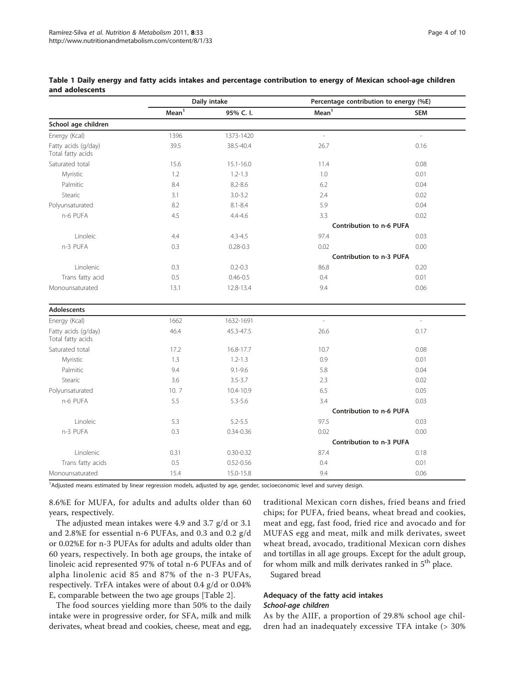|                                          | Daily intake      |               | Percentage contribution to energy (%E) |                          |
|------------------------------------------|-------------------|---------------|----------------------------------------|--------------------------|
|                                          | Mean <sup>1</sup> | 95% C. I.     | Mean <sup>1</sup>                      | <b>SEM</b>               |
| School age children                      |                   |               |                                        |                          |
| Energy (Kcal)                            | 1396              | 1373-1420     | $\overline{\phantom{a}}$               | $\overline{\phantom{a}}$ |
| Fatty acids (g/day)<br>Total fatty acids | 39.5              | 38.5-40.4     | 26.7                                   | 0.16                     |
| Saturated total                          | 15.6              | $15.1 - 16.0$ | 11.4                                   | 0.08                     |
| Myristic                                 | 1.2               | $1.2 - 1.3$   | 1.0                                    | 0.01                     |
| Palmitic                                 | 8.4               | $8.2 - 8.6$   | 6.2                                    | 0.04                     |
| Stearic                                  | 3.1               | $3.0 - 3.2$   | 2.4                                    | 0.02                     |
| Polyunsaturated                          | 8.2               | $8.1 - 8.4$   | 5.9                                    | 0.04                     |
| n-6 PUFA                                 | 4.5               | $4.4 - 4.6$   | 3.3                                    | 0.02                     |
|                                          |                   |               | Contribution to n-6 PUFA               |                          |
| Linoleic                                 | 4.4               | $4.3 - 4.5$   | 97.4                                   | 0.03                     |
| n-3 PUFA                                 | 0.3               | $0.28 - 0.3$  | 0.02                                   | 0.00                     |
|                                          |                   |               | Contribution to n-3 PUFA               |                          |
| Linolenic                                | 0.3               | $0.2 - 0.3$   | 86.8                                   | 0.20                     |
| Trans fatty acid                         | 0.5               | $0.46 - 0.5$  | 0.4                                    | 0.01                     |
| Monounsaturated                          | 13.1              | 12.8-13.4     | 9.4                                    | 0.06                     |
| <b>Adolescents</b>                       |                   |               |                                        |                          |
| Energy (Kcal)                            | 1662              | 1632-1691     | $\frac{1}{2}$                          | $\overline{\phantom{a}}$ |
| Fatty acids (g/day)<br>Total fatty acids | 46.4              | 45.3-47.5     | 26.6                                   | 0.17                     |
| Saturated total                          | 17.2              | 16.8-17.7     | 10.7                                   | 0.08                     |
| Myristic                                 | 1.3               | $1.2 - 1.3$   | 0.9                                    | 0.01                     |
| Palmitic                                 | 9.4               | $9.1 - 9.6$   | 5.8                                    | 0.04                     |
| Stearic                                  | 3.6               | $3.5 - 3.7$   | 2.3                                    | 0.02                     |
| Polyunsaturated                          | 10.7              | 10.4-10.9     | 6.5                                    | 0.05                     |
| n-6 PUFA                                 | 5.5               | $5.3 - 5.6$   | 3.4                                    | 0.03                     |
|                                          |                   |               | Contribution to n-6 PUFA               |                          |
| Linoleic                                 | 5.3               | $5.2 - 5.5$   | 97.5                                   | 0.03                     |
| n-3 PUFA                                 | 0.3               | $0.34 - 0.36$ | 0.02                                   | 0.00                     |

<span id="page-3-0"></span>Table 1 Daily energy and fatty acids intakes and percentage contribution to energy of Mexican school-age children and adolescents

<sup>1</sup>Adjusted means estimated by linear regression models, adjusted by age, gender, socioeconomic level and survey design.

Linolenic 0.31 0.30-0.32 87.4 0.18 Trans fatty acids 0.5 0.5 0.52-0.56 0.4 0.01 0.01 Monounsaturated 15.4 15.0-15.8 9.4 0.06

8.6%E for MUFA, for adults and adults older than 60 years, respectively.

The adjusted mean intakes were 4.9 and 3.7 g/d or 3.1 and 2.8%E for essential n-6 PUFAs, and 0.3 and 0.2 g/d or 0.02%E for n-3 PUFAs for adults and adults older than 60 years, respectively. In both age groups, the intake of linoleic acid represented 97% of total n-6 PUFAs and of alpha linolenic acid 85 and 87% of the n-3 PUFAs, respectively. TrFA intakes were of about 0.4 g/d or 0.04% E, comparable between the two age groups [Table [2\]](#page-4-0).

The food sources yielding more than 50% to the daily intake were in progressive order, for SFA, milk and milk derivates, wheat bread and cookies, cheese, meat and egg, traditional Mexican corn dishes, fried beans and fried chips; for PUFA, fried beans, wheat bread and cookies, meat and egg, fast food, fried rice and avocado and for MUFAS egg and meat, milk and milk derivates, sweet wheat bread, avocado, traditional Mexican corn dishes and tortillas in all age groups. Except for the adult group, for whom milk and milk derivates ranked in  $5<sup>th</sup>$  place.

Contribution to n-3 PUFA

Sugared bread

# Adequacy of the fatty acid intakes School-age children

As by the AIIF, a proportion of 29.8% school age children had an inadequately excessive TFA intake (> 30%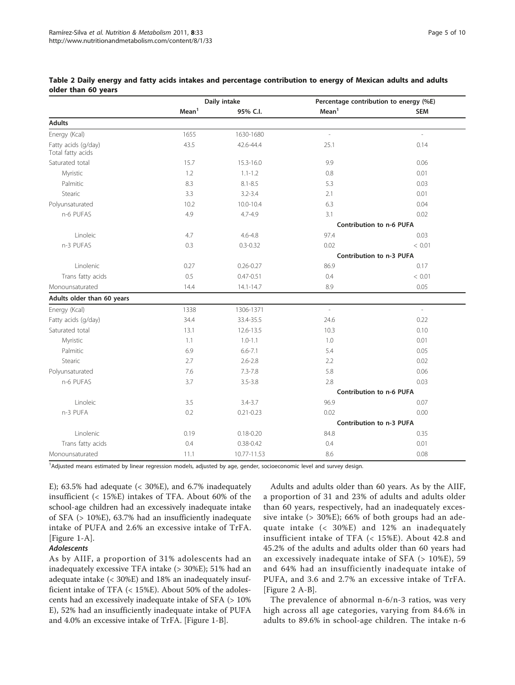Page 5 of 10

|                                          | Daily intake      |               | Percentage contribution to energy (%E) |                          |  |
|------------------------------------------|-------------------|---------------|----------------------------------------|--------------------------|--|
|                                          | Mean <sup>1</sup> | 95% C.I.      | Mean <sup>1</sup>                      | <b>SEM</b>               |  |
| <b>Adults</b>                            |                   |               |                                        |                          |  |
| Energy (Kcal)                            | 1655              | 1630-1680     | L.                                     | $\mathcal{L}$            |  |
| Fatty acids (g/day)<br>Total fatty acids | 43.5              | 42.6-44.4     | 25.1                                   | 0.14                     |  |
| Saturated total                          | 15.7              | 15.3-16.0     | 9.9                                    | 0.06                     |  |
| Myristic                                 | 1.2               | $1.1 - 1.2$   | 0.8                                    | 0.01                     |  |
| Palmitic                                 | 8.3               | $8.1 - 8.5$   | 5.3                                    | 0.03                     |  |
| Stearic                                  | 3.3               | $3.2 - 3.4$   | 2.1                                    | 0.01                     |  |
| Polyunsaturated                          | 10.2              | 10.0-10.4     | 6.3                                    | 0.04                     |  |
| n-6 PUFAS                                | 4.9               | $4.7 - 4.9$   | 3.1                                    | 0.02                     |  |
|                                          |                   |               | <b>Contribution to n-6 PUFA</b>        |                          |  |
| Linoleic                                 | 4.7               | $4.6 - 4.8$   | 97.4                                   | 0.03                     |  |
| n-3 PUFAS                                | 0.3               | $0.3 - 0.32$  | 0.02                                   | < 0.01                   |  |
|                                          |                   |               | Contribution to n-3 PUFA               |                          |  |
| Linolenic                                | 0.27              | $0.26 - 0.27$ | 86.9                                   | 0.17                     |  |
| Trans fatty acids                        | 0.5               | $0.47 - 0.51$ | 0.4                                    | < 0.01                   |  |
| Monounsaturated                          | 14.4              | $14.1 - 14.7$ | 8.9                                    | 0.05                     |  |
| Adults older than 60 years               |                   |               |                                        |                          |  |
| Energy (Kcal)                            | 1338              | 1306-1371     | $\overline{\phantom{a}}$               | $\overline{\phantom{a}}$ |  |
| Fatty acids (g/day)                      | 34.4              | 33.4-35.5     | 24.6                                   | 0.22                     |  |
| Saturated total                          | 13.1              | 12.6-13.5     | 10.3                                   | 0.10                     |  |
| Myristic                                 | 1.1               | $1.0 - 1.1$   | 1.0                                    | 0.01                     |  |
| Palmitic                                 | 6.9               | $6.6 - 7.1$   | 5.4                                    | 0.05                     |  |
| Stearic                                  | 2.7               | $2.6 - 2.8$   | 2.2                                    | 0.02                     |  |
| Polyunsaturated                          | 7.6               | $7.3 - 7.8$   | 5.8                                    | 0.06                     |  |
| n-6 PUFAS                                | 3.7               | $3.5 - 3.8$   | 2.8                                    | 0.03                     |  |
|                                          |                   |               | <b>Contribution to n-6 PUFA</b>        |                          |  |
| Linoleic                                 | 3.5               | $3.4 - 3.7$   | 96.9                                   | 0.07                     |  |
| n-3 PUFA                                 | 0.2               | $0.21 - 0.23$ | 0.02                                   | 0.00                     |  |
|                                          |                   |               |                                        | Contribution to n-3 PUFA |  |
| Linolenic                                | 0.19              | $0.18 - 0.20$ | 84.8                                   | 0.35                     |  |
| Trans fatty acids                        | 0.4               | $0.38 - 0.42$ | 0.4                                    | 0.01                     |  |
| Monounsaturated                          | 11.1              | 10.77-11.53   | 8.6                                    | 0.08                     |  |

<span id="page-4-0"></span>Table 2 Daily energy and fatty acids intakes and percentage contribution to energy of Mexican adults and adults older than 60 years

<sup>1</sup>Adjusted means estimated by linear regression models, adjusted by age, gender, socioeconomic level and survey design.

E); 63.5% had adequate  $( $30\%$ E), and 6.7% inadequately$ insufficient (< 15%E) intakes of TFA. About 60% of the school-age children had an excessively inadequate intake of SFA (> 10%E), 63.7% had an insufficiently inadequate intake of PUFA and 2.6% an excessive intake of TrFA. [Figure [1-A](#page-5-0)].

# Adolescents

As by AIIF, a proportion of 31% adolescents had an inadequately excessive TFA intake (> 30%E); 51% had an adequate intake (< 30%E) and 18% an inadequately insufficient intake of TFA (< 15%E). About 50% of the adolescents had an excessively inadequate intake of SFA (> 10% E), 52% had an insufficiently inadequate intake of PUFA and 4.0% an excessive intake of TrFA. [Figure [1-B\]](#page-5-0).

Adults and adults older than 60 years. As by the AIIF, a proportion of 31 and 23% of adults and adults older than 60 years, respectively, had an inadequately excessive intake (> 30%E); 66% of both groups had an adequate intake (< 30%E) and 12% an inadequately insufficient intake of TFA (< 15%E). About 42.8 and 45.2% of the adults and adults older than 60 years had an excessively inadequate intake of SFA (> 10%E), 59 and 64% had an insufficiently inadequate intake of PUFA, and 3.6 and 2.7% an excessive intake of TrFA. [Figure [2 A-B](#page-6-0)].

The prevalence of abnormal n-6/n-3 ratios, was very high across all age categories, varying from 84.6% in adults to 89.6% in school-age children. The intake n-6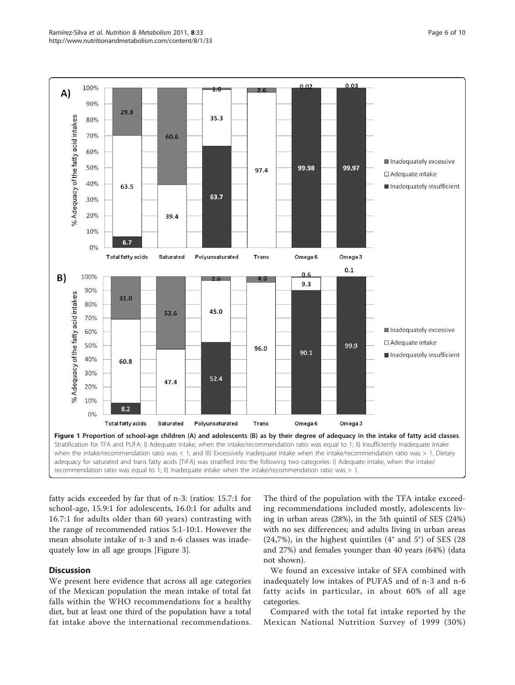<span id="page-5-0"></span>

fatty acids exceeded by far that of n-3: (ratios: 15.7:1 for school-age, 15.9:1 for adolescents, 16.0:1 for adults and 16.7:1 for adults older than 60 years) contrasting with the range of recommended ratios 5:1-10:1. However the mean absolute intake of n-3 and n-6 classes was inadequately low in all age groups [Figure [3](#page-7-0)].

# **Discussion**

We present here evidence that across all age categories of the Mexican population the mean intake of total fat falls within the WHO recommendations for a healthy diet, but at least one third of the population have a total fat intake above the international recommendations.

The third of the population with the TFA intake exceeding recommendations included mostly, adolescents living in urban areas (28%), in the 5th quintil of SES (24%) with no sex differences; and adults living in urban areas (24,7%), in the highest quintiles (4° and 5°) of SES (28 and 27%) and females younger than 40 years (64%) (data not shown).

We found an excessive intake of SFA combined with inadequately low intakes of PUFAS and of n-3 and n-6 fatty acids in particular, in about 60% of all age categories.

Compared with the total fat intake reported by the Mexican National Nutrition Survey of 1999 (30%)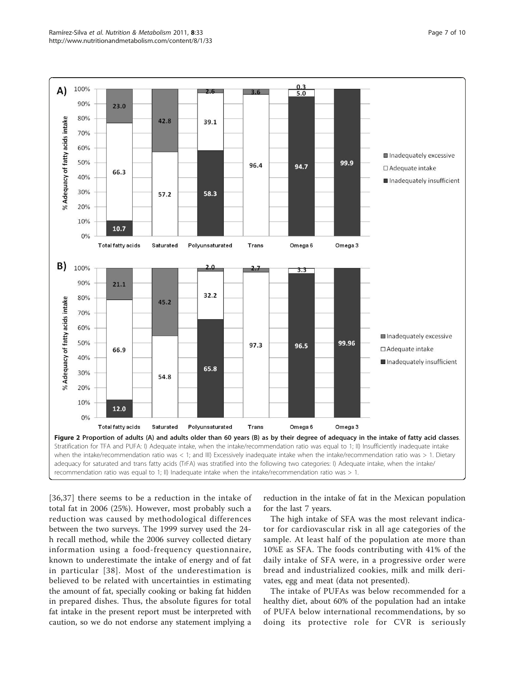<span id="page-6-0"></span>

[[36](#page-9-0),[37](#page-9-0)] there seems to be a reduction in the intake of total fat in 2006 (25%). However, most probably such a reduction was caused by methodological differences between the two surveys. The 1999 survey used the 24 h recall method, while the 2006 survey collected dietary information using a food-frequency questionnaire, known to underestimate the intake of energy and of fat in particular [[38\]](#page-9-0). Most of the underestimation is believed to be related with uncertainties in estimating the amount of fat, specially cooking or baking fat hidden in prepared dishes. Thus, the absolute figures for total fat intake in the present report must be interpreted with caution, so we do not endorse any statement implying a

reduction in the intake of fat in the Mexican population for the last 7 years.

The high intake of SFA was the most relevant indicator for cardiovascular risk in all age categories of the sample. At least half of the population ate more than 10%E as SFA. The foods contributing with 41% of the daily intake of SFA were, in a progressive order were bread and industrialized cookies, milk and milk derivates, egg and meat (data not presented).

The intake of PUFAs was below recommended for a healthy diet, about 60% of the population had an intake of PUFA below international recommendations, by so doing its protective role for CVR is seriously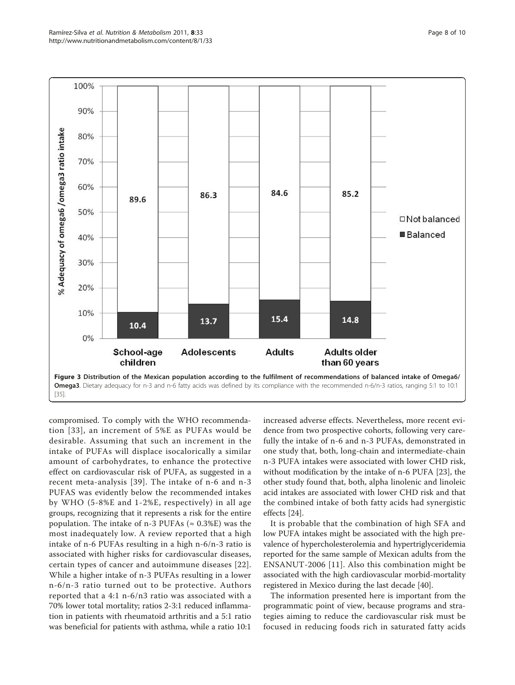<span id="page-7-0"></span>

compromised. To comply with the WHO recommendation [[33\]](#page-9-0), an increment of 5%E as PUFAs would be desirable. Assuming that such an increment in the intake of PUFAs will displace isocalorically a similar amount of carbohydrates, to enhance the protective effect on cardiovascular risk of PUFA, as suggested in a recent meta-analysis [[39\]](#page-9-0). The intake of n-6 and n-3 PUFAS was evidently below the recommended intakes by WHO (5-8%E and 1-2%E, respectively) in all age groups, recognizing that it represents a risk for the entire population. The intake of n-3 PUFAs ( $\approx$  0.3%E) was the most inadequately low. A review reported that a high intake of n-6 PUFAs resulting in a high n-6/n-3 ratio is associated with higher risks for cardiovascular diseases, certain types of cancer and autoimmune diseases [[22\]](#page-9-0). While a higher intake of n-3 PUFAs resulting in a lower n-6/n-3 ratio turned out to be protective. Authors reported that a 4:1 n-6/n3 ratio was associated with a 70% lower total mortality; ratios 2-3:1 reduced inflammation in patients with rheumatoid arthritis and a 5:1 ratio was beneficial for patients with asthma, while a ratio 10:1

increased adverse effects. Nevertheless, more recent evidence from two prospective cohorts, following very carefully the intake of n-6 and n-3 PUFAs, demonstrated in one study that, both, long-chain and intermediate-chain n-3 PUFA intakes were associated with lower CHD risk, without modification by the intake of n-6 PUFA [[23\]](#page-9-0), the other study found that, both, alpha linolenic and linoleic acid intakes are associated with lower CHD risk and that the combined intake of both fatty acids had synergistic effects [\[24](#page-9-0)].

It is probable that the combination of high SFA and low PUFA intakes might be associated with the high prevalence of hypercholesterolemia and hypertriglyceridemia reported for the same sample of Mexican adults from the ENSANUT-2006 [[11\]](#page-8-0). Also this combination might be associated with the high cardiovascular morbid-mortality registered in Mexico during the last decade [\[40\]](#page-9-0).

The information presented here is important from the programmatic point of view, because programs and strategies aiming to reduce the cardiovascular risk must be focused in reducing foods rich in saturated fatty acids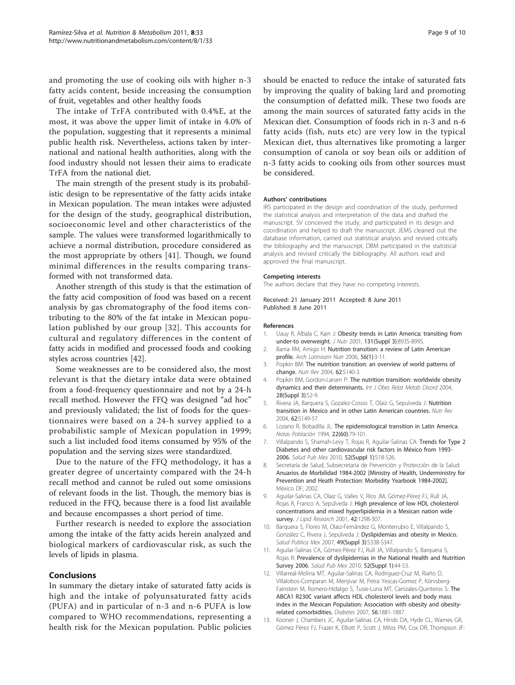<span id="page-8-0"></span>and promoting the use of cooking oils with higher n-3 fatty acids content, beside increasing the consumption of fruit, vegetables and other healthy foods

The intake of TrFA contributed with 0.4%E, at the most, it was above the upper limit of intake in 4.0% of the population, suggesting that it represents a minimal public health risk. Nevertheless, actions taken by international and national health authorities, along with the food industry should not lessen their aims to eradicate TrFA from the national diet.

The main strength of the present study is its probabilistic design to be representative of the fatty acids intake in Mexican population. The mean intakes were adjusted for the design of the study, geographical distribution, socioeconomic level and other characteristics of the sample. The values were transformed logarithmically to achieve a normal distribution, procedure considered as the most appropriate by others [\[41](#page-9-0)]. Though, we found minimal differences in the results comparing transformed with not transformed data.

Another strength of this study is that the estimation of the fatty acid composition of food was based on a recent analysis by gas chromatography of the food items contributing to the 80% of the fat intake in Mexican population published by our group [\[32\]](#page-9-0). This accounts for cultural and regulatory differences in the content of fatty acids in modified and processed foods and cooking styles across countries [\[42\]](#page-9-0).

Some weaknesses are to be considered also, the most relevant is that the dietary intake data were obtained from a food-frequency questionnaire and not by a 24-h recall method. However the FFQ was designed "ad hoc" and previously validated; the list of foods for the questionnaires were based on a 24-h survey applied to a probabilistic sample of Mexican population in 1999; such a list included food items consumed by 95% of the population and the serving sizes were standardized.

Due to the nature of the FFQ methodology, it has a greater degree of uncertainty compared with the 24-h recall method and cannot be ruled out some omissions of relevant foods in the list. Though, the memory bias is reduced in the FFQ, because there is a food list available and because encompasses a short period of time.

Further research is needed to explore the association among the intake of the fatty acids herein analyzed and biological markers of cardiovascular risk, as such the levels of lipids in plasma.

## Conclusions

In summary the dietary intake of saturated fatty acids is high and the intake of polyunsaturated fatty acids (PUFA) and in particular of n-3 and n-6 PUFA is low compared to WHO recommendations, representing a health risk for the Mexican population. Public policies Page 9 of 10

should be enacted to reduce the intake of saturated fats by improving the quality of baking lard and promoting the consumption of defatted milk. These two foods are among the main sources of saturated fatty acids in the Mexican diet. Consumption of foods rich in n-3 and n-6 fatty acids (fish, nuts etc) are very low in the typical Mexican diet, thus alternatives like promoting a larger consumption of canola or soy bean oils or addition of n-3 fatty acids to cooking oils from other sources must be considered.

#### Authors' contributions

IRS participated in the design and coordination of the study, performed the statistical analysis and interpretation of the data and drafted the manuscript. SV conceived the study, and participated in its design and coordination and helped to draft the manuscript. JEMS cleaned out the database information, carried out statistical analysis and revised critically the bibliography and the manuscript. DBM participated in the statistical analysis and revised critically the bibliography. All authors read and approved the final manuscript.

#### Competing interests

The authors declare that they have no competing interests.

Received: 21 January 2011 Accepted: 8 June 2011 Published: 8 June 2011

#### References

- 1. Uauy R, Albala C, Kain J: [Obesity trends in Latin America: transiting from](http://www.ncbi.nlm.nih.gov/pubmed/11238781?dopt=Abstract) [under-to overweight.](http://www.ncbi.nlm.nih.gov/pubmed/11238781?dopt=Abstract) J Nutr 2001, 131(Suppl 3):893S-899S.
- 2. Barria RM, Amigo H: [Nutrition transition: a review of Latin American](http://www.ncbi.nlm.nih.gov/pubmed/16786728?dopt=Abstract) [profile.](http://www.ncbi.nlm.nih.gov/pubmed/16786728?dopt=Abstract) Arch Latinoam Nutr 2006, 56(1):3-11.
- 3. Popkin BM: [The nutrition transition: an overview of world patterns of](http://www.ncbi.nlm.nih.gov/pubmed/15387480?dopt=Abstract) [change.](http://www.ncbi.nlm.nih.gov/pubmed/15387480?dopt=Abstract) Nutr Rev 2004, 62:S140-3.
- 4. Popkin BM, Gordon-Larsen P: [The nutrition transition: worldwide obesity](http://www.ncbi.nlm.nih.gov/pubmed/15543214?dopt=Abstract) [dynamics and their determinants.](http://www.ncbi.nlm.nih.gov/pubmed/15543214?dopt=Abstract) Int J Obes Relat Metab Disord 2004, 28(Suppl 3):S2-9.
- 5. Rivera JA, Barquera S, Gozalez-Cossio T, Olaiz G, Sepulveda J: [Nutrition](http://www.ncbi.nlm.nih.gov/pubmed/15387482?dopt=Abstract) [transition in Mexico and in other Latin American countries.](http://www.ncbi.nlm.nih.gov/pubmed/15387482?dopt=Abstract) Nutr Rev 2004, 62:S149-57.
- 6. Lozano R, Bobadilla JL: [The epidemiological transition in Latin America.](http://www.ncbi.nlm.nih.gov/pubmed/21643624?dopt=Abstract) Notas Población 1994, 22(60):79-101.
- 7. Villalpando S, Shamah-Levy T, Rojas R, Aguilar-Salinas CA: Trends for Type 2 Diabetes and other cardiovascular risk factors in México from 1993- 2006. Salud Pub Mex 2010, 52(Suppl 1):S18-S26.
- 8. Secretaría de Salud, Subsecretaria de Prevención y Protección de la Salud: Anuarios de Morbilidad 1984-2002 [Ministry of Health, Underministry for Prevention and Heath Protection: Morbidity Yearbook 1984-2002]. México DF; 2002.
- 9. Aguilar-Salinas CA, Olaiz G, Valles V, Ríos JM, Gómez-Pérez FJ, Rull JA, Rojas R, Franco A, Sepúlveda J: High prevalence of low HDL cholesterol concentrations and mixed hyperlipidemia in a Mexican nation wide survey. J Lipid Research 2001, 42:1298-307.
- 10. Barquera S, Flores M, Olaiz-Fernández G, Monterrubio E, Villalpando S, González C, Rivera J, Sepúlveda J: Dyslipidemias and obesity in Mexico. Salud Publica Mex 2007, 49(Suppl 3):S338-S347.
- 11. Aguilar-Salinas CA, Gómez-Pérez FJ, Rull JA, Villalpando S, Barquera S, Rojas R: Prevalence of dyslipidemias in the National Health and Nutrition Survey 2006. Salud Pub Mex 2010, 52(Suppl 1):44-53.
- 12. Villarreal-Molina MT, Aguilar-Salinas CA, Rodríguez-Cruz M, Riaño D, Villalobos-Comparan M, Menjivar M, Petra Yescas-Gomez P, Könisberg-Fainstein M, Romero-Hidalgo S, Tusie-Luna MT, Canizales-Quinteros S: [The](http://www.ncbi.nlm.nih.gov/pubmed/17287470?dopt=Abstract) [ABCA1 R230C variant affects HDL cholesterol levels and body mass](http://www.ncbi.nlm.nih.gov/pubmed/17287470?dopt=Abstract) [index in the Mexican Population: Association with obesity and obesity](http://www.ncbi.nlm.nih.gov/pubmed/17287470?dopt=Abstract)[related comorbidities.](http://www.ncbi.nlm.nih.gov/pubmed/17287470?dopt=Abstract) Diabetes 2007, 56:1881-1887.
- 13. Kooner J, Chambers JC, Aguilar-Salinas CA, Hinds DA, Hyde CL, Warnes GR, Gómez Pérez FJ, Frazer K, Elliott P, Scott J, Milos PM, Cox DR, Thompson JF: